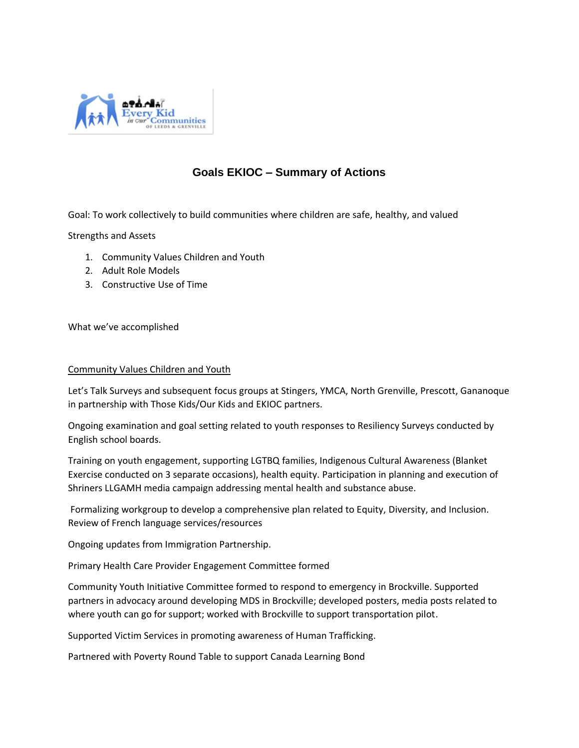

## **Goals EKIOC – Summary of Actions**

Goal: To work collectively to build communities where children are safe, healthy, and valued

Strengths and Assets

- 1. Community Values Children and Youth
- 2. Adult Role Models
- 3. Constructive Use of Time

What we've accomplished

## Community Values Children and Youth

Let's Talk Surveys and subsequent focus groups at Stingers, YMCA, North Grenville, Prescott, Gananoque in partnership with Those Kids/Our Kids and EKIOC partners.

Ongoing examination and goal setting related to youth responses to Resiliency Surveys conducted by English school boards.

Training on youth engagement, supporting LGTBQ families, Indigenous Cultural Awareness (Blanket Exercise conducted on 3 separate occasions), health equity. Participation in planning and execution of Shriners LLGAMH media campaign addressing mental health and substance abuse.

Formalizing workgroup to develop a comprehensive plan related to Equity, Diversity, and Inclusion. Review of French language services/resources

Ongoing updates from Immigration Partnership.

Primary Health Care Provider Engagement Committee formed

Community Youth Initiative Committee formed to respond to emergency in Brockville. Supported partners in advocacy around developing MDS in Brockville; developed posters, media posts related to where youth can go for support; worked with Brockville to support transportation pilot.

Supported Victim Services in promoting awareness of Human Trafficking.

Partnered with Poverty Round Table to support Canada Learning Bond